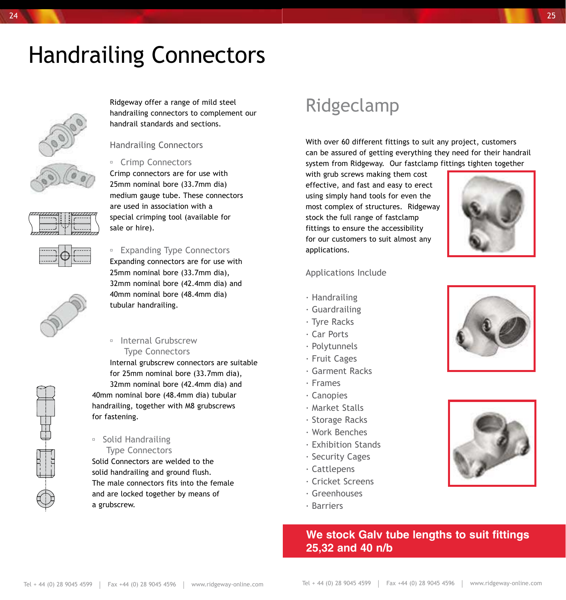# Handrailing Connectors



Ridgeway offer a range of mild steel handrailing connectors to complement our handrail standards and sections.

#### Handrailing Connectors

#### <sup>o</sup> Crimp Connectors

Crimp connectors are for use with 25mm nominal bore (33.7mm dia) medium gauge tube. These connectors are used in association with a special crimping tool (available for sale or hire).



#### **Expanding Type Connectors**

Expanding connectors are for use with 25mm nominal bore (33.7mm dia), 32mm nominal bore (42.4mm dia) and 40mm nominal bore (48.4mm dia) tubular handrailing.

#### **Internal Grubscrew** Type Connectors

Internal grubscrew connectors are suitable for 25mm nominal bore (33.7mm dia), 32mm nominal bore (42.4mm dia) and 40mm nominal bore (48.4mm dia) tubular handrailing, together with M8 grubscrews for fastening.

#### ■ Solid Handrailing Type Connectors

Solid Connectors are welded to the solid handrailing and ground flush. The male connectors fits into the female and are locked together by means of a grubscrew.

### Ridgeclamp

With over 60 different fittings to suit any project, customers can be assured of getting everything they need for their handrail system from Ridgeway. Our fastclamp fittings tighten together

with grub screws making them cost effective, and fast and easy to erect using simply hand tools for even the most complex of structures. Ridgeway stock the full range of fastclamp fittings to ensure the accessibility for our customers to suit almost any applications.



#### Applications Include

- · Handrailing
- · Guardrailing
- · Tyre Racks
- · Car Ports
- · Polytunnels
- · Fruit Cages
- · Garment Racks
- · Frames
- · Canopies
- · Market Stalls
- · Storage Racks
- · Work Benches
- · Exhibition Stands
- · Security Cages
- · Cattlepens
- · Cricket Screens
- · Greenhouses
- · Barriers

### **We stock Galv tube lengths to suit fittings 25,32 and 40 n/b**